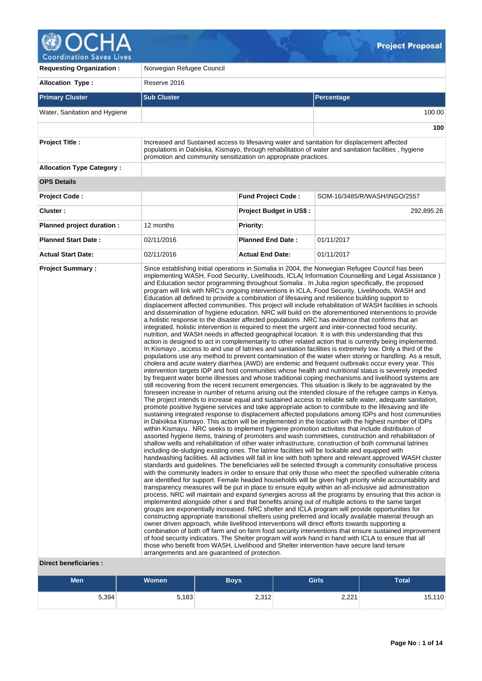

**Requesting Organization :** Norwegian Refugee Council **Allocation Type :** Reserve 2016 **Primary Cluster Sub Cluster Sub Cluster** Sub Cluster Sub Cluster Sub Cluster Sub Cluster Sub Cluster Sub Cluster Water, Sanitation and Hygiene 100.00 **100 Project Title :** Increased and Sustained access to lifesaving water and sanitation for displacement affected populations in Dalxiiska, Kismayo, through rehabilitation of water and sanitation facilities , hygiene promotion and community sensitization on appropriate practices. **Allocation Type Category : OPS Details Project Code : Fund Project Code :** SOM-16/3485/R/WASH/INGO/2557 **Cluster : Project Budget in US\$ :** 292,895.26 **Planned project duration :** 12 months **Planned Priority: Planned Start Date :** 02/11/2016 **Planned End Date :** 01/11/2017 **Actual Start Date:** 02/11/2016 **Actual End Date:** 01/11/2017 **Project Summary :** Since establishing initial operations in Somalia in 2004, the Norwegian Refugee Council has been implementing WASH, Food Security, Livelihoods, ICLA( Information Counselling and Legal Assistance ) and Education sector programming throughout Somalia . In Juba region specifically, the proposed program will link with NRC's ongoing interventions in ICLA, Food Security, Livelihoods, WASH and Education all defined to provide a combination of lifesaving and resilience building support to displacement affected communities. This project will include rehabilitation of WASH facilities in schools and dissemination of hygiene education. NRC will build on the aforementioned interventions to provide a holistic response to the disaster affected populations .NRC has evidence that confirms that an integrated, holistic intervention is required to meet the urgent and inter-connected food security, nutrition, and WASH needs in affected geographical location. It is with this understanding that this action is designed to act in complementarity to other related action that is currently being implemented. In Kismayo , access to and use of latrines and sanitation facilities is extremely low. Only a third of the populations use any method to prevent contamination of the water when storing or handling. As a result, cholera and acute watery diarrhea (AWD) are endemic and frequent outbreaks occur every year. This intervention targets IDP and host communities whose health and nutritional status is severely impeded by frequent water borne illnesses and whose traditional coping mechanisms and livelihood systems are still recovering from the recent recurrent emergencies. This situation is likely to be aggravated by the foreseen increase in number of returns arising out the intended closure of the refugee camps in Kenya. The project intends to increase equal and sustained access to reliable safe water, adequate sanitation, promote positive hygiene services and take appropriate action to contribute to the lifesaving and life sustaining integrated response to displacement affected populations among IDPs and host communities in Dalxiiksa Kismayo. This action will be implemented in the location with the highest number of IDPs within Kismayu . NRC seeks to implement hygiene promotion activities that include distribution of assorted hygiene items, training of promoters and wash committees, construction and rehabilitation of shallow wells and rehabilitation of other water infrastructure, construction of both communal latrines including de-sludging existing ones. The latrine facilities will be lockable and equipped with handwashing facilities. All activities will fall in line with both sphere and relevant approved WASH cluster standards and guidelines. The beneficiaries will be selected through a community consultative process with the community leaders in order to ensure that only those who meet the specified vulnerable criteria are identified for support. Female headed households will be given high priority while accountability and transparency measures will be put in place to ensure equity within an all-inclusive aid administration process. NRC will maintain and expand synergies across all the programs by ensuring that this action is implemented alongside other s and that benefits arising out of multiple actions to the same target groups are exponentially increased. NRC shelter and ICLA program will provide opportunities for constructing appropriate transitional shelters using preferred and locally available material through an owner driven approach, while livelihood interventions will direct efforts towards supporting a combination of both off farm and on farm food security interventions that ensure sustained improvement of food security indicators. The Shelter program will work hand in hand with ICLA to ensure that all those who benefit from WASH, Livelihood and Shelter intervention have secure land tenure arrangements and are guaranteed of protection.

# **Direct beneficiaries :**

| <b>Men</b> | <b>Women</b> | <b>Boys</b> | <b>Girls</b> | Total  |
|------------|--------------|-------------|--------------|--------|
| 5,394      | 5,183        | 2,312       | 2,221        | 15,110 |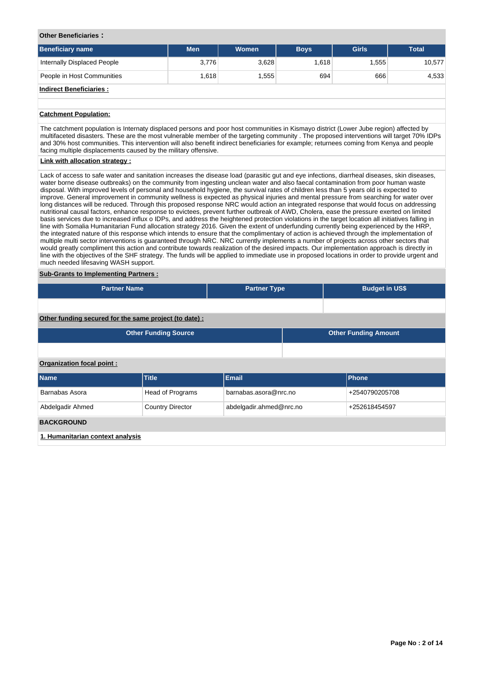## **Other Beneficiaries :**

| <b>Beneficiary name</b>        | <b>Men</b> | <b>Women</b> | <b>Boys</b> | <b>Girls</b> | <b>Total</b> |
|--------------------------------|------------|--------------|-------------|--------------|--------------|
| Internally Displaced People    | 3,776      | 3,628        | 1,618       | 1,555        | 10,577       |
| People in Host Communities     | 1.618      | .555         | 694         | 666          | 4,533        |
| <b>Indirect Beneficiaries:</b> |            |              |             |              |              |

# **Catchment Population:**

The catchment population is Internaty displaced persons and poor host communities in Kismayo district (Lower Jube region) affected by multifaceted disasters. These are the most vulnerable member of the targeting community . The proposed interventions will target 70% IDPs and 30% host communities. This intervention will also benefit indirect beneficiaries for example; returnees coming from Kenya and people facing multiple displacements caused by the military offensive.

## **Link with allocation strategy :**

Lack of access to safe water and sanitation increases the disease load (parasitic gut and eye infections, diarrheal diseases, skin diseases, water borne disease outbreaks) on the community from ingesting unclean water and also faecal contamination from poor human waste disposal. With improved levels of personal and household hygiene, the survival rates of children less than 5 years old is expected to improve. General improvement in community wellness is expected as physical injuries and mental pressure from searching for water over long distances will be reduced. Through this proposed response NRC would action an integrated response that would focus on addressing nutritional causal factors, enhance response to evictees, prevent further outbreak of AWD, Cholera, ease the pressure exerted on limited basis services due to increased influx o IDPs, and address the heightened protection violations in the target location all initiatives falling in line with Somalia Humanitarian Fund allocation strategy 2016. Given the extent of underfunding currently being experienced by the HRP, the integrated nature of this response which intends to ensure that the complimentary of action is achieved through the implementation of multiple multi sector interventions is guaranteed through NRC. NRC currently implements a number of projects across other sectors that would greatly compliment this action and contribute towards realization of the desired impacts. Our implementation approach is directly in line with the objectives of the SHF strategy. The funds will be applied to immediate use in proposed locations in order to provide urgent and much needed lifesaving WASH support.

### **Sub-Grants to Implementing Partners :**

| <b>Partner Name</b>       |                                                        | <b>Partner Type</b> |                                          | <b>Budget in US\$</b>       |  |  |  |  |
|---------------------------|--------------------------------------------------------|---------------------|------------------------------------------|-----------------------------|--|--|--|--|
|                           |                                                        |                     |                                          |                             |  |  |  |  |
|                           | Other funding secured for the same project (to date) : |                     |                                          |                             |  |  |  |  |
|                           | <b>Other Funding Source</b>                            |                     |                                          | <b>Other Funding Amount</b> |  |  |  |  |
|                           |                                                        |                     |                                          |                             |  |  |  |  |
| Organization focal point: |                                                        |                     |                                          |                             |  |  |  |  |
| <b>Name</b>               | <b>Title</b>                                           | Email               |                                          | Phone                       |  |  |  |  |
| Barnabas Asora            | <b>Head of Programs</b>                                |                     | barnabas.asora@nrc.no<br>+2540790205708  |                             |  |  |  |  |
| Abdelgadir Ahmed          | <b>Country Director</b>                                |                     | abdelgadir.ahmed@nrc.no<br>+252618454597 |                             |  |  |  |  |
| <b>BACKGROUND</b>         |                                                        |                     |                                          |                             |  |  |  |  |

**1. Humanitarian context analysis**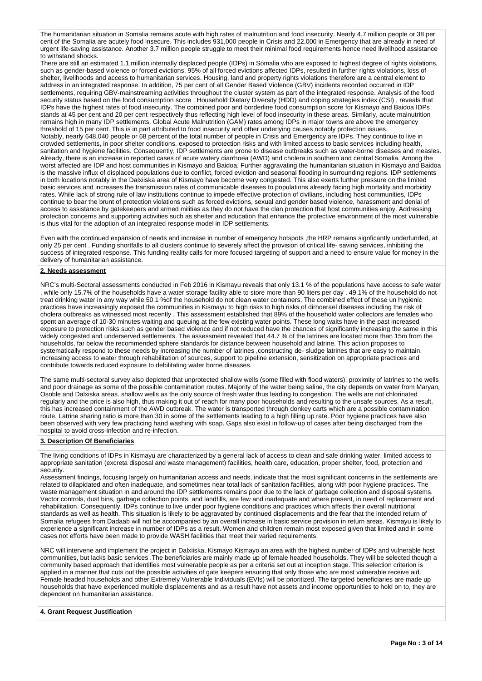The humanitarian situation in Somalia remains acute with high rates of malnutrition and food insecurity. Nearly 4.7 million people or 38 per cent of the Somalia are acutely food insecure. This includes 931,000 people in Crisis and 22,000 in Emergency that are already in need of urgent life-saving assistance. Another 3.7 million people struggle to meet their minimal food requirements hence need livelihood assistance to withstand shocks.

There are still an estimated 1.1 million internally displaced people (IDPs) in Somalia who are exposed to highest degree of rights violations, such as gender-based violence or forced evictions. 95% of all forced evictions affected IDPs, resulted in further rights violations, loss of shelter, livelihoods and access to humanitarian services. Housing, land and property rights violations therefore are a central element to address in an integrated response. In addition, 75 per cent of all Gender Based Violence (GBV) incidents recorded occurred in IDP settlements, requiring GBV-mainstreaming activities throughout the cluster system as part of the integrated response. Analysis of the food security status based on the food consumption score , Household Dietary Diversity (HDD) and coping strategies index (CSI) , reveals that IDPs have the highest rates of food insecurity. The combined poor and borderline food consumption score for Kismayo and Baidoa IDPs stands at 45 per cent and 20 per cent respectively thus reflecting high level of food insecurity in these areas. Similarly, acute malnutrition remains high in many IDP settlements. Global Acute Malnutrition (GAM) rates among IDPs in major towns are above the emergency threshold of 15 per cent. This is in part attributed to food insecurity and other underlying causes notably protection issues. Notably, nearly 648,040 people or 68 percent of the total number of people in Crisis and Emergency are IDPs. They continue to live in crowded settlements, in poor shelter conditions, exposed to protection risks and with limited access to basic services including health, sanitation and hygiene facilities. Consequently, IDP settlements are prone to disease outbreaks such as water-borne diseases and measles. Already, there is an increase in reported cases of acute watery diarrhoea (AWD) and cholera in southern and central Somalia. Among the worst affected are IDP and host communities in Kismayo and Baidoa. Further aggravating the humanitarian situation in Kismayo and Baidoa is the massive influx of displaced populations due to conflict, forced eviction and seasonal flooding in surrounding regions. IDP settlements in both locations notably in the Dalxiiska area of Kismayo have become very congested. This also exerts further pressure on the limited basic services and increases the transmission rates of communicable diseases to populations already facing high mortality and morbidity rates. While lack of strong rule of law institutions continue to impede effective protection of civilians, including host communities, IDPs continue to bear the brunt of protection violations such as forced evictions, sexual and gender based violence, harassment and denial of access to assistance by gatekeepers and armed militias as they do not have the clan protection that host communities enjoy. Addressing protection concerns and supporting activities such as shelter and education that enhance the protective environment of the most vulnerable is thus vital for the adoption of an integrated response model in IDP settlements.

Even with the continued expansion of needs and increase in number of emergency hotspots ,the HRP remains signficantly underfunded, at only 25 per cent . Funding shortfalls to all clusters continue to severely affect the provision of critical life- saving services, inhibiting the success of integrated response. This funding reality calls for more focused targeting of support and a need to ensure value for money in the delivery of humanitarian assistance.

# **2. Needs assessment**

NRC's multi-Sectoral assessments conducted in Feb 2016 in Kismayu reveals that only 13.1 % of the populations have access to safe water , while only 15.7% of the households have a water storage facility able to store more than 90 liters per day . 49.1% of the household do not treat drinking water in any way while 50.1 %of the household do not clean water containers. The combined effect of these un hygienic practices have increasingly exposed the communities in Kismayu to high risks to high risks of dirhoerael diseases including the risk of cholera outbreaks as witnessed most recently . This assessment established that 89% of the household water collectors are females who spent an average of 10-30 minutes waiting and queuing at the few existing water points. These long waits have in the past increased exposure to protection risks such as gender based violence and if not reduced have the chances of significantly increasing the same in this widely congested and underserved settlements. The assessment revealed that 44.7 % of the latrines are located more than 15m from the households, far below the recommended sphere standards for distance between household and latrine. This action proposes to systematically respond to these needs by increasing the number of latrines ,constructing de- sludge latrines that are easy to maintain, increasing access to water through rehabilitation of sources, support to pipeline extension, sensitization on appropriate practices and contribute towards reduced exposure to debilitating water borne diseases.

The same multi-sectoral survey also depicted that unprotected shallow wells (some filled with flood waters), proximity of latrines to the wells and poor drainage as some of the possible contamination routes. Majority of the water being saline, the city depends on water from Maryan, Osoble and Dalxiska areas. shallow wells as the only source of fresh water thus leading to congestion. The wells are not chlorinated regularly and the price is also high, thus making it out of reach for many poor households and resulting to the unsafe sources. As a result, this has increased containment of the AWD outbreak. The water is transported through donkey carts which are a possible contamination route. Latrine sharing ratio is more than 30 in some of the settlements leading to a high filling up rate. Poor hygiene practices have also been observed with very few practicing hand washing with soap. Gaps also exist in follow-up of cases after being discharged from the hospital to avoid cross-infection and re-infection.

## **3. Description Of Beneficiaries**

The living conditions of IDPs in Kismayu are characterized by a general lack of access to clean and safe drinking water, limited access to appropriate sanitation (excreta disposal and waste management) facilities, health care, education, proper shelter, food, protection and security.

Assessment findings, focusing largely on humanitarian access and needs, indicate that the most significant concerns in the settlements are related to dilapidated and often inadequate, and sometimes near total lack of sanitation facilities, along with poor hygiene practices. The waste management situation in and around the IDP settlements remains poor due to the lack of garbage collection and disposal systems. Vector controls, dust bins, garbage collection points, and landfills, are few and inadequate and where present, in need of replacement and rehabilitation. Consequently, IDPs continue to live under poor hygiene conditions and practices which affects their overall nutritional standards as well as health. This situation is likely to be aggravated by continued displacements and the fear that the intended return of Somalia refugees from Dadaab will not be accompanied by an overall increase in basic service provision in return areas. Kismayu is likely to experience a significant increase in number of IDPs as a result. Women and children remain most exposed given that limited and in some cases not efforts have been made to provide WASH facilities that meet their varied requirements.

NRC will intervene and implement the project in Dalxiiska, Kismayo Kismayo an area with the highest number of IDPs and vulnerable host communities, but lacks basic services .The beneficiaries are mainly made up of female headed households. They will be selected though a community based approach that identifies most vulnerable people as per a criteria set out at inception stage. This selection criterion is applied in a manner that cuts out the possible activities of gate keepers ensuring that only those who are most vulnerable receive aid. Female headed households and other Extremely Vulnerable Individuals (EVIs) will be prioritized. The targeted beneficiaries are made up households that have experienced multiple displacements and as a result have not assets and income opportunities to hold on to, they are dependent on humanitarian assistance.

# **4. Grant Request Justification**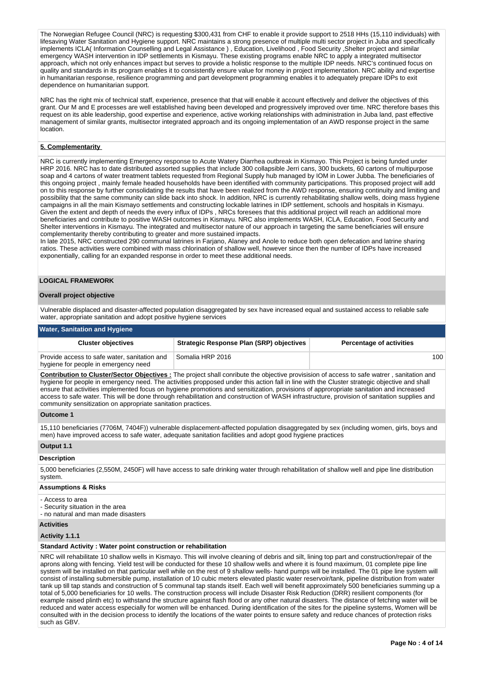The Norwegian Refugee Council (NRC) is requesting \$300,431 from CHF to enable it provide support to 2518 HHs (15,110 individuals) with lifesaving Water Sanitation and Hygiene support. NRC maintains a strong presence of multiple multi sector project in Juba and specifically implements ICLA( Information Counselling and Legal Assistance ) , Education, Livelihood , Food Security ,Shelter project and similar emergency WASH intervention in IDP settlements in Kismayu. These existing programs enable NRC to apply a integrated multisector approach, which not only enhances impact but serves to provide a holistic response to the multiple IDP needs. NRC's continued focus on quality and standards in its program enables it to consistently ensure value for money in project implementation. NRC ability and expertise in humanitarian response, resilience programming and part development programming enables it to adequately prepare IDPs to exit dependence on humanitarian support.

NRC has the right mix of technical staff, experience, presence that that will enable it account effectively and deliver the objectives of this grant. Our M and E processes are well established having been developed and progressively improved over time. NRC therefore bases this request on its able leadership, good expertise and experience, active working relationships with administration in Juba land, past effective management of similar grants, multisector integrated approach and its ongoing implementation of an AWD response project in the same location.

# **5. Complementarity**

NRC is currently implementing Emergency response to Acute Watery Diarrhea outbreak in Kismayo. This Project is being funded under HRP 2016. NRC has to date distributed assorted supplies that include 300 collapsible Jerri cans, 300 buckets, 60 cartons of multipurpose soap and 4 cartons of water treatment tablets requested from Regional Supply hub managed by IOM in Lower Jubba. The beneficiaries of this ongoing project , mainly female headed households have been identified with community participations. This proposed project will add on to this response by further consolidating the results that have been realized from the AWD response, ensuring continuity and limiting and possibility that the same community can slide back into shock. In addition, NRC is currently rehabilitating shallow wells, doing mass hygiene campaigns in all the main Kismayo settlements and constructing lockable latrines in IDP settlement, schools and hospitals in Kismayu. Given the extent and depth of needs the every influx of IDPs , NRCs foresees that this additional project will reach an additional more beneficiaries and contribute to positive WASH outcomes in Kismayu. NRC also implements WASH, ICLA, Education, Food Security and Shelter interventions in Kismayu. The integrated and multisector nature of our approach in targeting the same beneficiaries will ensure complementarity thereby contributing to greater and more sustained impacts.

In late 2015, NRC constructed 290 communal latrines in Farjano, Alaney and Anole to reduce both open defecation and latrine sharing ratios. These activities were combined with mass chlorination of shallow well, however since then the number of IDPs have increased exponentially, calling for an expanded response in order to meet these additional needs.

# **LOGICAL FRAMEWORK**

# **Overall project objective**

Vulnerable displaced and disaster-affected population disaggregated by sex have increased equal and sustained access to reliable safe water, appropriate sanitation and adopt positive hygiene services

#### **Water, Sanitation and Hygiene**

| <b>Cluster objectives</b>                                                            | <b>Strategic Response Plan (SRP) objectives</b> | <b>Percentage of activities</b> |
|--------------------------------------------------------------------------------------|-------------------------------------------------|---------------------------------|
| Provide access to safe water, sanitation and<br>hygiene for people in emergency need | l Somalia HRP 2016                              | 100                             |

**Contribution to Cluster/Sector Objectives :** The project shall conribute the objective provisision of access to safe watrer , sanitation and hygiene for people in emergency need. The activities propposed under this action fall in line with the Cluster strategic objective and shall ensure that activities implemented focus on hygiene promotions and sensitization, provisions of approropriate sanitation and increased access to safe water. This will be done through rehabilitation and construction of WASH infrastructure, provision of sanitation supplies and community sensitization on appropriate sanitation practices.

## **Outcome 1**

15,110 beneficiaries (7706M, 7404F)) vulnerable displacement-affected population disaggregated by sex (including women, girls, boys and men) have improved access to safe water, adequate sanitation facilities and adopt good hygiene practices

# **Output 1.1**

#### **Description**

5,000 beneficiaries (2,550M, 2450F) will have access to safe drinking water through rehabilitation of shallow well and pipe line distribution system.

#### **Assumptions & Risks**

- Access to area
- Security situation in the area
- no natural and man made disasters

# **Activities**

# **Activity 1.1.1**

## **Standard Activity : Water point construction or rehabilitation**

NRC will rehabilitate 10 shallow wells in Kismayo. This will involve cleaning of debris and silt, lining top part and construction/repair of the aprons along with fencing. Yield test will be conducted for these 10 shallow wells and where it is found maximum, 01 complete pipe line system will be installed on that particular well while on the rest of 9 shallow wells- hand pumps will be installed. The 01 pipe line system will consist of installing submersible pump, installation of 10 cubic meters elevated plastic water reservoir/tank, pipeline distribution from water tank up till tap stands and construction of 5 communal tap stands itself. Each well will benefit approximately 500 beneficiaries summing up a total of 5,000 beneficiaries for 10 wells. The construction process will include Disaster Risk Reduction (DRR) resilient components (for example raised plinth etc) to withstand the structure against flash flood or any other natural disasters. The distance of fetching water will be reduced and water access especially for women will be enhanced. During identification of the sites for the pipeline systems, Women will be consulted with in the decision process to identify the locations of the water points to ensure safety and reduce chances of protection risks such as GBV.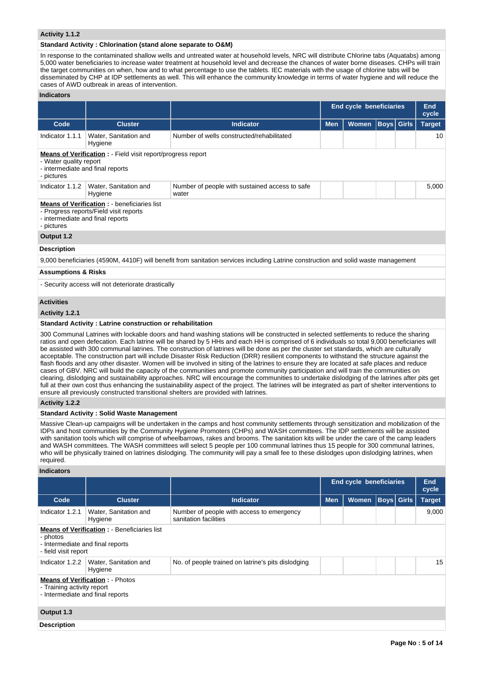# **Activity 1.1.2**

## **Standard Activity : Chlorination (stand alone separate to O&M)**

In response to the contaminated shallow wells and untreated water at household levels, NRC will distribute Chlorine tabs (Aquatabs) among 5,000 water beneficiaries to increase water treatment at household level and decrease the chances of water borne diseases. CHPs will train the target communities on when, how and to what percentage to use the tablets. IEC materials with the usage of chlorine tabs will be disseminated by CHP at IDP settlements as well. This will enhance the community knowledge in terms of water hygiene and will reduce the cases of AWD outbreak in areas of intervention.

# **Indicators**

|                                                                                                                                                                                                                                                                                                                                                                                                                                                                                                                                                                                                                                                                                                                                                                                                                                                                                                                                                                                                                    |                                                                  |                                                                                                                                    |                     | <b>End cycle beneficiaries</b> |  |                   | End<br>cycle |  |
|--------------------------------------------------------------------------------------------------------------------------------------------------------------------------------------------------------------------------------------------------------------------------------------------------------------------------------------------------------------------------------------------------------------------------------------------------------------------------------------------------------------------------------------------------------------------------------------------------------------------------------------------------------------------------------------------------------------------------------------------------------------------------------------------------------------------------------------------------------------------------------------------------------------------------------------------------------------------------------------------------------------------|------------------------------------------------------------------|------------------------------------------------------------------------------------------------------------------------------------|---------------------|--------------------------------|--|-------------------|--------------|--|
| Code                                                                                                                                                                                                                                                                                                                                                                                                                                                                                                                                                                                                                                                                                                                                                                                                                                                                                                                                                                                                               | <b>Cluster</b>                                                   | <b>Indicator</b>                                                                                                                   | Women<br><b>Men</b> |                                |  | <b>Boys</b> Girls |              |  |
| Indicator 1.1.1                                                                                                                                                                                                                                                                                                                                                                                                                                                                                                                                                                                                                                                                                                                                                                                                                                                                                                                                                                                                    | Water, Sanitation and<br>Hygiene                                 | Number of wells constructed/rehabilitated                                                                                          |                     |                                |  |                   | 10           |  |
| <b>Means of Verification :</b> - Field visit report/progress report<br>- Water quality report<br>- intermediate and final reports<br>- pictures                                                                                                                                                                                                                                                                                                                                                                                                                                                                                                                                                                                                                                                                                                                                                                                                                                                                    |                                                                  |                                                                                                                                    |                     |                                |  |                   |              |  |
| Indicator 1.1.2                                                                                                                                                                                                                                                                                                                                                                                                                                                                                                                                                                                                                                                                                                                                                                                                                                                                                                                                                                                                    | Water, Sanitation and<br>Hygiene                                 | Number of people with sustained access to safe<br>water                                                                            |                     |                                |  |                   | 5,000        |  |
| <b>Means of Verification : - beneficiaries list</b><br>- Progress reports/Field visit reports<br>- intermediate and final reports<br>- pictures                                                                                                                                                                                                                                                                                                                                                                                                                                                                                                                                                                                                                                                                                                                                                                                                                                                                    |                                                                  |                                                                                                                                    |                     |                                |  |                   |              |  |
| Output 1.2                                                                                                                                                                                                                                                                                                                                                                                                                                                                                                                                                                                                                                                                                                                                                                                                                                                                                                                                                                                                         |                                                                  |                                                                                                                                    |                     |                                |  |                   |              |  |
| <b>Description</b>                                                                                                                                                                                                                                                                                                                                                                                                                                                                                                                                                                                                                                                                                                                                                                                                                                                                                                                                                                                                 |                                                                  |                                                                                                                                    |                     |                                |  |                   |              |  |
|                                                                                                                                                                                                                                                                                                                                                                                                                                                                                                                                                                                                                                                                                                                                                                                                                                                                                                                                                                                                                    |                                                                  | 9,000 beneficiaries (4590M, 4410F) will benefit from sanitation services including Latrine construction and solid waste management |                     |                                |  |                   |              |  |
| <b>Assumptions &amp; Risks</b>                                                                                                                                                                                                                                                                                                                                                                                                                                                                                                                                                                                                                                                                                                                                                                                                                                                                                                                                                                                     |                                                                  |                                                                                                                                    |                     |                                |  |                   |              |  |
|                                                                                                                                                                                                                                                                                                                                                                                                                                                                                                                                                                                                                                                                                                                                                                                                                                                                                                                                                                                                                    | - Security access will not deteriorate drastically               |                                                                                                                                    |                     |                                |  |                   |              |  |
| <b>Activities</b>                                                                                                                                                                                                                                                                                                                                                                                                                                                                                                                                                                                                                                                                                                                                                                                                                                                                                                                                                                                                  |                                                                  |                                                                                                                                    |                     |                                |  |                   |              |  |
| Activity 1.2.1                                                                                                                                                                                                                                                                                                                                                                                                                                                                                                                                                                                                                                                                                                                                                                                                                                                                                                                                                                                                     |                                                                  |                                                                                                                                    |                     |                                |  |                   |              |  |
|                                                                                                                                                                                                                                                                                                                                                                                                                                                                                                                                                                                                                                                                                                                                                                                                                                                                                                                                                                                                                    | <b>Standard Activity: Latrine construction or rehabilitation</b> |                                                                                                                                    |                     |                                |  |                   |              |  |
| 300 Communal Latrines with lockable doors and hand washing stations will be constructed in selected settlements to reduce the sharing<br>ratios and open defecation. Each latrine will be shared by 5 HHs and each HH is comprised of 6 individuals so total 9,000 beneficiaries will<br>be assisted with 300 communal latrines. The construction of latrines will be done as per the cluster set standards, which are culturally<br>acceptable. The construction part will include Disaster Risk Reduction (DRR) resilient components to withstand the structure against the<br>flash floods and any other disaster. Women will be involved in siting of the latrines to ensure they are located at safe places and reduce<br>cases of GBV. NRC will build the capacity of the communities and promote community participation and will train the communities on<br>clearing, dislodging and sustainability approaches. NRC will encourage the communities to undertake dislodging of the latrines after pits get |                                                                  |                                                                                                                                    |                     |                                |  |                   |              |  |

full at their own cost thus enhancing the sustainability aspect of the project. The latrines will be integrated as part of shelter interventions to ensure all previously constructed transitional shelters are provided with latrines.

# **Activity 1.2.2**

# **Standard Activity : Solid Waste Management**

Massive Clean-up campaigns will be undertaken in the camps and host community settlements through sensitization and mobilization of the IDPs and host communities by the Community Hygiene Promoters (CHPs) and WASH committees. The IDP settlements will be assisted with sanitation tools which will comprise of wheelbarrows, rakes and brooms. The sanitation kits will be under the care of the camp leaders and WASH committees. The WASH committees will select 5 people per 100 communal latrines thus 15 people for 300 communal latrines, who will be physically trained on latrines dislodging. The community will pay a small fee to these dislodges upon dislodging latrines, when required.

# **Indicators**

|                                                                                                                             |                                  |                                                                    |            | <b>End cycle beneficiaries</b> |                   |  | End<br>cycle  |  |
|-----------------------------------------------------------------------------------------------------------------------------|----------------------------------|--------------------------------------------------------------------|------------|--------------------------------|-------------------|--|---------------|--|
| Code                                                                                                                        | <b>Cluster</b>                   | Indicator                                                          | <b>Men</b> | Women                          | <b>Boys</b> Girls |  | <b>Target</b> |  |
| Indicator 1.2.1                                                                                                             | Water, Sanitation and<br>Hygiene | Number of people with access to emergency<br>sanitation facilities |            |                                |                   |  | 9,000         |  |
| <b>Means of Verification : - Beneficiaries list</b><br>- photos<br>- Intermediate and final reports<br>- field visit report |                                  |                                                                    |            |                                |                   |  |               |  |
| Indicator 1.2.2                                                                                                             | Water, Sanitation and<br>Hygiene | No. of people trained on latrine's pits dislodging                 |            |                                |                   |  | 15            |  |
| <b>Means of Verification: - Photos</b><br>- Training activity report<br>- Intermediate and final reports                    |                                  |                                                                    |            |                                |                   |  |               |  |
| Output 1.3                                                                                                                  |                                  |                                                                    |            |                                |                   |  |               |  |
| <b>Description</b>                                                                                                          |                                  |                                                                    |            |                                |                   |  |               |  |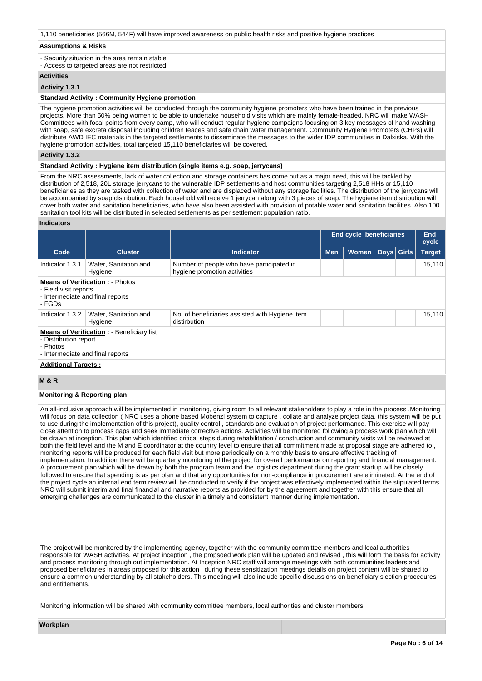# 1,110 beneficiaries (566M, 544F) will have improved awareness on public health risks and positive hygiene practices

#### **Assumptions & Risks**

- Security situation in the area remain stable

- Access to targeted areas are not restricted

# **Activities**

# **Activity 1.3.1**

# **Standard Activity : Community Hygiene promotion**

The hygiene promotion activities will be conducted through the community hygiene promoters who have been trained in the previous projects. More than 50% being women to be able to undertake household visits which are mainly female-headed. NRC will make WASH Committees with focal points from every camp, who will conduct regular hygiene campaigns focusing on 3 key messages of hand washing with soap, safe excreta disposal including children feaces and safe chain water management. Community Hygiene Promoters (CHPs) will distribute AWD IEC materials in the targeted settlements to disseminate the messages to the wider IDP communities in Dalxiska. With the hygiene promotion activities, total targeted 15,110 beneficiaries will be covered.

# **Activity 1.3.2**

## **Standard Activity : Hygiene item distribution (single items e.g. soap, jerrycans)**

From the NRC assessments, lack of water collection and storage containers has come out as a major need, this will be tackled by distribution of 2,518, 20L storage jerrycans to the vulnerable IDP settlements and host communities targeting 2,518 HHs or 15,110 beneficiaries as they are tasked with collection of water and are displaced without any storage facilities. The distribution of the jerrycans will be accompanied by soap distribution. Each household will receive 1 jerrycan along with 3 pieces of soap. The hygiene item distribution will cover both water and sanitation beneficiaries, who have also been assisted with provision of potable water and sanitation facilities. Also 100 sanitation tool kits will be distributed in selected settlements as per settlement population ratio.

### **Indicators**

|                                                                                                                            |                                        | End cycle beneficiaries                                                   |            |              |                   |  |        |  |  |  | End<br>cycle |
|----------------------------------------------------------------------------------------------------------------------------|----------------------------------------|---------------------------------------------------------------------------|------------|--------------|-------------------|--|--------|--|--|--|--------------|
| Code                                                                                                                       | <b>Cluster</b>                         | Indicator                                                                 | <b>Men</b> | <b>Women</b> | <b>Boys</b> Girls |  | Target |  |  |  |              |
| Indicator 1.3.1                                                                                                            | Water, Sanitation and<br>Hygiene       | Number of people who have participated in<br>hygiene promotion activities |            |              |                   |  | 15,110 |  |  |  |              |
| - Field visit reports<br>- Intermediate and final reports<br>- FGDs                                                        | <b>Means of Verification: - Photos</b> |                                                                           |            |              |                   |  |        |  |  |  |              |
| Indicator 1.3.2                                                                                                            | Water, Sanitation and<br>Hygiene       | No. of beneficiaries assisted with Hygiene item<br>distirbution           |            |              |                   |  | 15,110 |  |  |  |              |
| <b>Means of Verification : - Beneficiary list</b><br>- Distribution report<br>- Photos<br>- Intermediate and final reports |                                        |                                                                           |            |              |                   |  |        |  |  |  |              |
| <b>Additional Targets:</b>                                                                                                 |                                        |                                                                           |            |              |                   |  |        |  |  |  |              |

# **M & R**

# **Monitoring & Reporting plan**

An all-inclusive approach will be implemented in monitoring, giving room to all relevant stakeholders to play a role in the process .Monitoring will focus on data collection ( NRC uses a phone based Mobenzi system to capture , collate and analyze project data, this system will be put to use during the implementation of this project), quality control , standards and evaluation of project performance. This exercise will pay close attention to process gaps and seek immediate corrective actions. Activities will be monitored following a process work plan which will be drawn at inception. This plan which identified critical steps during rehabilitation / construction and community visits will be reviewed at both the field level and the M and E coordinator at the country level to ensure that all commitment made at proposal stage are adhered to , monitoring reports will be produced for each field visit but more periodically on a monthly basis to ensure effective tracking of implementation. In addition there will be quarterly monitoring of the project for overall performance on reporting and financial management. A procurement plan which will be drawn by both the program team and the logistics department during the grant startup will be closely followed to ensure that spending is as per plan and that any opportunities for non-compliance in procurement are eliminated. At the end of the project cycle an internal end term review will be conducted to verify if the project was effectively implemented within the stipulated terms. NRC will submit interim and final financial and narrative reports as provided for by the agreement and together with this ensure that all emerging challenges are communicated to the cluster in a timely and consistent manner during implementation.

The project will be monitored by the implementing agency, together with the community committee members and local authorities responsble for WASH activities. At project inception , the propsoed work plan will be updated and revised , this will form the basis for activity and process monitoring through out implementation. At Inception NRC staff will arrange meetings with both communities leaders and proposed beneficiaries in areas proposed for this action , during these sensitization meetings details on project content will be shared to ensure a common understanding by all stakeholders. This meeting will also include specific discussions on beneficiary slection procedures and entitlements.

Monitoring information will be shared with community committee members, local authorities and cluster members.

**Workplan**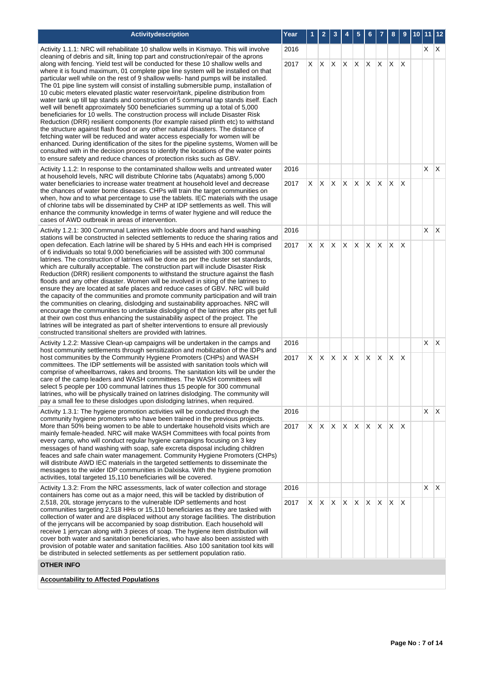| Activitydescription                                                                                                                                                                                                                                                                                                                                                                                                                                                                                                                                                                                                                                                                                                                                                                                                                                                                                                                                                                                                                                                                                                                                                                                                                                                                                          | Year |         | 2          | 3                 | 4  | 5            | 6          |             | 8                   | 9  | 10 | 11 12      |  |
|--------------------------------------------------------------------------------------------------------------------------------------------------------------------------------------------------------------------------------------------------------------------------------------------------------------------------------------------------------------------------------------------------------------------------------------------------------------------------------------------------------------------------------------------------------------------------------------------------------------------------------------------------------------------------------------------------------------------------------------------------------------------------------------------------------------------------------------------------------------------------------------------------------------------------------------------------------------------------------------------------------------------------------------------------------------------------------------------------------------------------------------------------------------------------------------------------------------------------------------------------------------------------------------------------------------|------|---------|------------|-------------------|----|--------------|------------|-------------|---------------------|----|----|------------|--|
| Activity 1.1.1: NRC will rehabilitate 10 shallow wells in Kismayo. This will involve                                                                                                                                                                                                                                                                                                                                                                                                                                                                                                                                                                                                                                                                                                                                                                                                                                                                                                                                                                                                                                                                                                                                                                                                                         | 2016 |         |            |                   |    |              |            |             |                     |    |    | $X$ $X$    |  |
| cleaning of debris and silt, lining top part and construction/repair of the aprons<br>along with fencing. Yield test will be conducted for these 10 shallow wells and<br>where it is found maximum, 01 complete pipe line system will be installed on that<br>particular well while on the rest of 9 shallow wells- hand pumps will be installed.<br>The 01 pipe line system will consist of installing submersible pump, installation of<br>10 cubic meters elevated plastic water reservoir/tank, pipeline distribution from<br>water tank up till tap stands and construction of 5 communal tap stands itself. Each<br>well will benefit approximately 500 beneficiaries summing up a total of 5,000<br>beneficiaries for 10 wells. The construction process will include Disaster Risk<br>Reduction (DRR) resilient components (for example raised plinth etc) to withstand<br>the structure against flash flood or any other natural disasters. The distance of<br>fetching water will be reduced and water access especially for women will be<br>enhanced. During identification of the sites for the pipeline systems, Women will be<br>consulted with in the decision process to identify the locations of the water points<br>to ensure safety and reduce chances of protection risks such as GBV. | 2017 | X.      | X          | X.                | X  | X.           | X.         | IX.         | X                   | X  |    |            |  |
| Activity 1.1.2: In response to the contaminated shallow wells and untreated water<br>at household levels, NRC will distribute Chlorine tabs (Aquatabs) among 5,000                                                                                                                                                                                                                                                                                                                                                                                                                                                                                                                                                                                                                                                                                                                                                                                                                                                                                                                                                                                                                                                                                                                                           | 2016 |         |            |                   |    |              |            |             |                     |    |    | $X \mid X$ |  |
| water beneficiaries to increase water treatment at household level and decrease<br>the chances of water borne diseases. CHPs will train the target communities on<br>when, how and to what percentage to use the tablets. IEC materials with the usage<br>of chlorine tabs will be disseminated by CHP at IDP settlements as well. This will<br>enhance the community knowledge in terms of water hygiene and will reduce the<br>cases of AWD outbreak in areas of intervention.                                                                                                                                                                                                                                                                                                                                                                                                                                                                                                                                                                                                                                                                                                                                                                                                                             | 2017 | X       |            | $X \times X$      |    | $\mathsf{X}$ | $X$ $X$    |             | X.                  | ΙX |    |            |  |
| Activity 1.2.1: 300 Communal Latrines with lockable doors and hand washing<br>stations will be constructed in selected settlements to reduce the sharing ratios and                                                                                                                                                                                                                                                                                                                                                                                                                                                                                                                                                                                                                                                                                                                                                                                                                                                                                                                                                                                                                                                                                                                                          | 2016 |         |            |                   |    |              |            |             |                     |    |    | $X \mid X$ |  |
| open defecation. Each latrine will be shared by 5 HHs and each HH is comprised<br>of 6 individuals so total 9,000 beneficiaries will be assisted with 300 communal<br>latrines. The construction of latrines will be done as per the cluster set standards,<br>which are culturally acceptable. The construction part will include Disaster Risk<br>Reduction (DRR) resilient components to withstand the structure against the flash<br>floods and any other disaster. Women will be involved in siting of the latrines to<br>ensure they are located at safe places and reduce cases of GBV. NRC will build<br>the capacity of the communities and promote community participation and will train<br>the communities on clearing, dislodging and sustainability approaches. NRC will<br>encourage the communities to undertake dislodging of the latrines after pits get full<br>at their own cost thus enhancing the sustainability aspect of the project. The<br>latrines will be integrated as part of shelter interventions to ensure all previously<br>constructed transitional shelters are provided with latrines.                                                                                                                                                                                  | 2017 |         | $X \mid X$ | X                 | X. |              |            | $X$ $X$ $X$ |                     | ΙX |    |            |  |
| Activity 1.2.2: Massive Clean-up campaigns will be undertaken in the camps and<br>host community settlements through sensitization and mobilization of the IDPs and                                                                                                                                                                                                                                                                                                                                                                                                                                                                                                                                                                                                                                                                                                                                                                                                                                                                                                                                                                                                                                                                                                                                          | 2016 |         |            |                   |    |              |            |             |                     |    |    | $X \mid X$ |  |
| host communities by the Community Hygiene Promoters (CHPs) and WASH<br>committees. The IDP settlements will be assisted with sanitation tools which will<br>comprise of wheelbarrows, rakes and brooms. The sanitation kits will be under the<br>care of the camp leaders and WASH committees. The WASH committees will<br>select 5 people per 100 communal latrines thus 15 people for 300 communal<br>latrines, who will be physically trained on latrines dislodging. The community will<br>pay a small fee to these dislodges upon dislodging latrines, when required.                                                                                                                                                                                                                                                                                                                                                                                                                                                                                                                                                                                                                                                                                                                                   | 2017 | X.      | X.         | X.                | X  | <b>X</b>     | $x \times$ |             | X                   | X  |    |            |  |
| Activity 1.3.1: The hygiene promotion activities will be conducted through the<br>community hygiene promoters who have been trained in the previous projects.                                                                                                                                                                                                                                                                                                                                                                                                                                                                                                                                                                                                                                                                                                                                                                                                                                                                                                                                                                                                                                                                                                                                                | 2016 |         |            |                   |    |              |            |             |                     |    |    | $X \mid X$ |  |
| More than 50% being women to be able to undertake household visits which are<br>mainly female-headed. NRC will make WASH Committees with focal points from<br>every camp, who will conduct regular hygiene campaigns focusing on 3 key<br>messages of hand washing with soap, safe excreta disposal including children<br>feaces and safe chain water management. Community Hygiene Promoters (CHPs)<br>will distribute AWD IEC materials in the targeted settlements to disseminate the<br>messages to the wider IDP communities in Dalxiska. With the hygiene promotion<br>activities, total targeted 15,110 beneficiaries will be covered.                                                                                                                                                                                                                                                                                                                                                                                                                                                                                                                                                                                                                                                                |      | X.      |            | $X \mid X \mid X$ |    | $\mathsf{X}$ |            | $X$ $X$     | X.                  | ΙX |    |            |  |
| Activity 1.3.2: From the NRC assessments, lack of water collection and storage<br>containers has come out as a major need, this will be tackled by distribution of                                                                                                                                                                                                                                                                                                                                                                                                                                                                                                                                                                                                                                                                                                                                                                                                                                                                                                                                                                                                                                                                                                                                           | 2016 |         |            |                   |    |              |            |             |                     |    |    | $X \mid X$ |  |
| 2,518, 20L storage jerrycans to the vulnerable IDP settlements and host<br>communities targeting 2,518 HHs or 15,110 beneficiaries as they are tasked with<br>collection of water and are displaced without any storage facilities. The distribution<br>of the jerrycans will be accompanied by soap distribution. Each household will<br>receive 1 jerrycan along with 3 pieces of soap. The hygiene item distribution will                                                                                                                                                                                                                                                                                                                                                                                                                                                                                                                                                                                                                                                                                                                                                                                                                                                                                 |      | $X$ $X$ |            | $X$ $X$           |    |              |            |             | $X$ $X$ $X$ $X$ $X$ |    |    |            |  |

# **OTHER INFO**

**Accountability to Affected Populations**

cover both water and sanitation beneficiaries, who have also been assisted with provision of potable water and sanitation facilities. Also 100 sanitation tool kits will

be distributed in selected settlements as per settlement population ratio.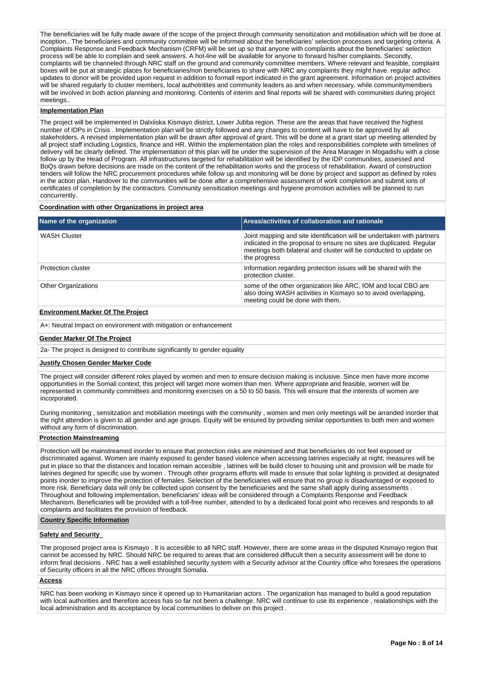The beneficiaries will be fully made aware of the scope of the project through community sensitization and mobilisation which will be done at inception.. The beneficiaries and community committee will be informed about the beneficiaries' selection processes and targeting criteria. A Complaints Response and Feedback Mechanism (CRFM) will be set up so that anyone with complaints about the beneficiaries' selection process will be able to complain and seek answers. A hot-line will be available for anyone to forward his/her complaints. Secondly, complaints will be channeled through NRC staff on the ground and community committee members. Where relevant and feasible, complaint boxes will be put at strategic places for beneficiaries/non beneficiaries to share with NRC any complaints they might have. regular adhoc updates to donor will be provided upon request in addition to formall report indicated in the grant agreement. Information on project activities will be shared regularly to cluster members, local authotritites and community leaders as and when necessary, while communitymembers will be involved in both action planning and monitoring. Contents of interim and final reports will be shared with communities during project meetings...

#### **Implementation Plan**

The project will be implemented in Dalxiiska Kismayo district, Lower Jubba region. These are the areas that have received the highest number of IDPs in Crisis . Implementation plan will be strictly followed and any changes to content will have to be approved by all stakeholders. A revised implementation plan will be drawn after approval of grant. This will be done at a grant start up meeting attended by all project staff including Logistics, finance and HR. Within the implementation plan the roles and responsibilities complete with timelines of delivery will be clearly defined. The implementation of this plan will be under the supervision of the Area Manager in Mogadishu with a close follow up by the Head of Program. All infrastructures targeted for rehabilitation will be identified by the IDP communities, assessed and BoQs drawn before decisions are made on the content of the rehabilitation works and the process of rehabilitation. Award of construction tenders will follow the NRC procurement procedures while follow up and monitoring will be done by project and support as defined by roles in the action plan. Handover to the communities will be done after a comprehensive assessment of work completion and submit ions of certificates of completion by the contractors. Community sensitization meetings and hygiene promotion activities will be planned to run concurrently.

## **Coordination with other Organizations in project area**

| Name of the organization                 | Areas/activities of collaboration and rationale                                                                                                                                                                                      |
|------------------------------------------|--------------------------------------------------------------------------------------------------------------------------------------------------------------------------------------------------------------------------------------|
| <b>WASH Cluster</b>                      | Joint mapping and site identification will be undertaken with partners<br>indicated in the proposal to ensure no sites are duplicated. Regular<br>meetings both bilateral and cluster will be conducted to update on<br>the progress |
| Protection cluster                       | Information regarding protection issues will be shared with the<br>protection cluster.                                                                                                                                               |
| <b>Other Organizations</b>               | some of the other organization like ARC, IOM and local CBO are<br>also doing WASH activities in Kismayo so to avoid overlapping.<br>meeting could be done with them.                                                                 |
| <b>Environment Marker Of The Project</b> |                                                                                                                                                                                                                                      |

A+: Neutral Impact on environment with mitigation or enhancement

#### **Gender Marker Of The Project**

2a- The project is designed to contribute significantly to gender equality

# **Justify Chosen Gender Marker Code**

The project will consider different roles played by women and men to ensure decision making is inclusive. Since men have more income opportunities in the Somali context, this project will target more women than men. Where appropriate and feasible, women will be represented in community committees and monitoring exercises on a 50 to 50 basis. This will ensure that the interests of women are incorporated.

During monitoring , sensitzation and mobiliation meetings with the community , women and men only meetings will be arranded inorder that the right attendion is given to all gender and age groups. Equity will be ensured by providing similar opportunities to both men and women without any form of discrimination.

# **Protection Mainstreaming**

Protection will be mainstreamed inorder to ensure that protection risks are minimised and that beneficiaries do not feel exposed or discriminated against. Women are mainly exposed to gender based violence when accessing latrines especially at night; measures will be put in place so that the distances and location remain accesible , latrines will be build closer to housing unit and provision will be made for latrines degined for specific use by women . Through other programs efforts will made to ensure that solar lighting is provided at designated points inorder to improve the protection of females. Selection of the beneficiaries will ensure that no group is disadvantaged or exposed to more risk. Beneficiary data will only be collected upon consent by the beneficiaries and the same shall apply during assessments . Throughout and following implementation, beneficiaries' ideas will be considered through a Complaints Response and Feedback Mechanism. Beneficiaries will be provided with a toll-free number, attended to by a dedicated focal point who receives and responds to all complaints and facilitates the provision of feedback.

# **Country Specific Information**

# **Safety and Security**

The proposed project area is Kismayo . It is accesiible to all NRC staff. However, there are some areas in the disputed Kismayo region that cannot be accessed by NRC. Should NRC be required to areas that are considered diffucult then a security assessment will be done to inform final decisions . NRC has a well established security system with a Security advisor at the Country office who foresees the operations of Security officers in all the NRC offices throught Somalia.

#### **Access**

NRC has been working in Kismayo since it opened up to Humanitarian actors . The organization has managed to build a good reputation with local authorities and therefore access has so far not been a challenge. NRC will continue to use its experience , realationships with the local administration and its acceptance by local communities to deliver on this project .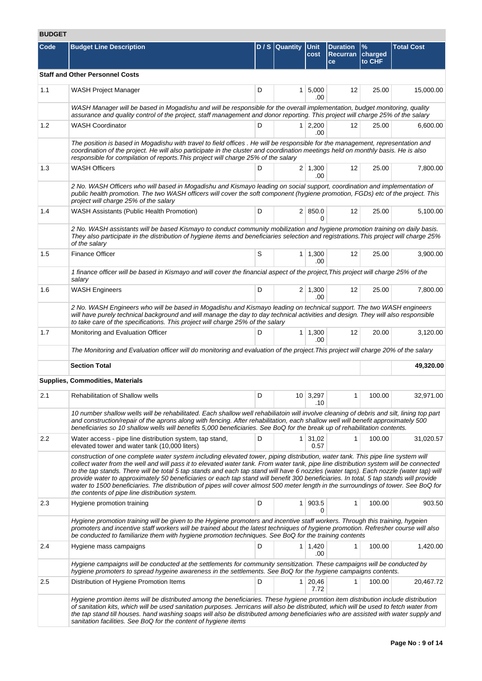# **BUDGET**

| Code | <b>Budget Line Description</b>                                                                                                                                                                                                                                                                                                                                                                                                                                                                                                                                                                                                                                                                                                                      |   | D / S Quantity | Unit                   | <b>Duration</b> | %                 | <b>Total Cost</b> |
|------|-----------------------------------------------------------------------------------------------------------------------------------------------------------------------------------------------------------------------------------------------------------------------------------------------------------------------------------------------------------------------------------------------------------------------------------------------------------------------------------------------------------------------------------------------------------------------------------------------------------------------------------------------------------------------------------------------------------------------------------------------------|---|----------------|------------------------|-----------------|-------------------|-------------------|
|      |                                                                                                                                                                                                                                                                                                                                                                                                                                                                                                                                                                                                                                                                                                                                                     |   |                | cost                   | Recurran<br>ce  | charged<br>to CHF |                   |
|      | <b>Staff and Other Personnel Costs</b>                                                                                                                                                                                                                                                                                                                                                                                                                                                                                                                                                                                                                                                                                                              |   |                |                        |                 |                   |                   |
| 1.1  | WASH Project Manager                                                                                                                                                                                                                                                                                                                                                                                                                                                                                                                                                                                                                                                                                                                                | D |                | $1 \, 5,000$<br>.00    | 12              | 25.00             | 15,000.00         |
|      | WASH Manager will be based in Mogadishu and will be responsible for the overall implementation, budget monitoring, quality<br>assurance and quality control of the project, staff management and donor reporting. This project will charge 25% of the salary                                                                                                                                                                                                                                                                                                                                                                                                                                                                                        |   |                |                        |                 |                   |                   |
| 1.2  | <b>WASH Coordinator</b>                                                                                                                                                                                                                                                                                                                                                                                                                                                                                                                                                                                                                                                                                                                             | D |                | $1 \mid 2,200$<br>.00  | 12              | 25.00             | 6,600.00          |
|      | The position is based in Mogadishu with travel to field offices . He will be responsible for the management, representation and<br>coordination of the project. He will also participate in the cluster and coordination meetings held on monthly basis. He is also<br>responsible for compilation of reports. This project will charge 25% of the salary                                                                                                                                                                                                                                                                                                                                                                                           |   |                |                        |                 |                   |                   |
| 1.3  | <b>WASH Officers</b>                                                                                                                                                                                                                                                                                                                                                                                                                                                                                                                                                                                                                                                                                                                                | D |                | $2 \mid 1,300$<br>.00  | 12              | 25.00             | 7,800.00          |
|      | 2 No. WASH Officers who will based in Mogadishu and Kismayo leading on social support, coordination and implementation of<br>public health promotion. The two WASH officers will cover the soft component (hygiene promotion, FGDs) etc of the project. This<br>project will charge 25% of the salary                                                                                                                                                                                                                                                                                                                                                                                                                                               |   |                |                        |                 |                   |                   |
| 1.4  | WASH Assistants (Public Health Promotion)                                                                                                                                                                                                                                                                                                                                                                                                                                                                                                                                                                                                                                                                                                           | D |                | 2   850.0<br>$\Omega$  | 12              | 25.00             | 5,100.00          |
|      | 2 No. WASH assistants will be based Kismayo to conduct community mobilization and hygiene promotion training on daily basis.<br>They also participate in the distribution of hygiene items and beneficiaries selection and registrations. This project will charge 25%<br>of the salary                                                                                                                                                                                                                                                                                                                                                                                                                                                             |   |                |                        |                 |                   |                   |
| 1.5  | <b>Finance Officer</b>                                                                                                                                                                                                                                                                                                                                                                                                                                                                                                                                                                                                                                                                                                                              | S |                | $1 \mid 1,300$<br>.00  | 12              | 25.00             | 3,900.00          |
|      | 1 finance officer will be based in Kismayo and will cover the financial aspect of the project, This project will charge 25% of the<br>salary                                                                                                                                                                                                                                                                                                                                                                                                                                                                                                                                                                                                        |   |                |                        |                 |                   |                   |
| 1.6  | <b>WASH Engineers</b>                                                                                                                                                                                                                                                                                                                                                                                                                                                                                                                                                                                                                                                                                                                               | D |                | $2 \mid 1,300$<br>.00  | 12              | 25.00             | 7,800.00          |
|      | 2 No. WASH Engineers who will be based in Mogadishu and Kismayo leading on technical support. The two WASH engineers<br>will have purely technical background and will manage the day to day technical activities and design. They will also responsible<br>to take care of the specifications. This project will charge 25% of the salary                                                                                                                                                                                                                                                                                                                                                                                                          |   |                |                        |                 |                   |                   |
| 1.7  | Monitoring and Evaluation Officer                                                                                                                                                                                                                                                                                                                                                                                                                                                                                                                                                                                                                                                                                                                   | D |                | $1 \mid 1,300$<br>.00  | 12              | 20.00             | 3,120.00          |
|      | The Monitoring and Evaluation officer will do monitoring and evaluation of the project. This project will charge 20% of the salary                                                                                                                                                                                                                                                                                                                                                                                                                                                                                                                                                                                                                  |   |                |                        |                 |                   |                   |
|      | <b>Section Total</b>                                                                                                                                                                                                                                                                                                                                                                                                                                                                                                                                                                                                                                                                                                                                |   |                |                        |                 |                   | 49,320.00         |
|      | Supplies, Commodities, Materials                                                                                                                                                                                                                                                                                                                                                                                                                                                                                                                                                                                                                                                                                                                    |   |                |                        |                 |                   |                   |
| 2.1  | <b>Rehabilitation of Shallow wells</b>                                                                                                                                                                                                                                                                                                                                                                                                                                                                                                                                                                                                                                                                                                              | D |                | $10 \mid 3,297$<br>.10 | 1               | 100.00            | 32,971.00         |
|      | 10 number shallow wells will be rehabilitated. Each shallow well rehabiliatoin will involve cleaning of debris and silt, lining top part<br>and construction/repair of the aprons along with fencing. After rehabilitation, each shallow well will benefit approximately 500<br>beneficiaries so 10 shallow wells will benefits 5,000 beneficiaries. See BoQ for the break up of rehabilitation contents.                                                                                                                                                                                                                                                                                                                                           |   |                |                        |                 |                   |                   |
| 2.2  | Water access - pipe line distribution system, tap stand,<br>elevated tower and water tank (10,000 liters)                                                                                                                                                                                                                                                                                                                                                                                                                                                                                                                                                                                                                                           | D |                | $1 \mid 31,02$<br>0.57 | 1               | 100.00            | 31,020.57         |
|      | construction of one complete water system including elevated tower, piping distribution, water tank. This pipe line system will<br>collect water from the well and will pass it to elevated water tank. From water tank, pipe line distribution system will be connected<br>to the tap stands. There will be total 5 tap stands and each tap stand will have 6 nozzles (water taps). Each nozzle (water tap) will<br>provide water to approximately 50 beneficiaries or each tap stand will benefit 300 beneficiaries. In total, 5 tap stands will provide<br>water to 1500 beneficiaries. The distribution of pipes will cover almost 500 meter length in the surroundings of tower. See BoQ for<br>the contents of pipe line distribution system. |   |                |                        |                 |                   |                   |
| 2.3  | Hygiene promotion training                                                                                                                                                                                                                                                                                                                                                                                                                                                                                                                                                                                                                                                                                                                          | D |                | 1 903.5<br>0           | 1               | 100.00            | 903.50            |
|      | Hygiene promotion training will be given to the Hygiene promoters and incentive staff workers. Through this training, hygeien<br>promoters and incentive staff workers will be trained about the latest techniques of hygiene promotion. Refresher course will also<br>be conducted to familiarize them with hygiene promotion techniques. See BoQ for the training contents                                                                                                                                                                                                                                                                                                                                                                        |   |                |                        |                 |                   |                   |
| 2.4  | Hygiene mass campaigns                                                                                                                                                                                                                                                                                                                                                                                                                                                                                                                                                                                                                                                                                                                              | D |                | $1 \mid 1,420$<br>.00  | 1               | 100.00            | 1,420.00          |
|      | Hygiene campaigns will be conducted at the settlements for community sensitization. These campaigns will be conducted by<br>hygiene promoters to spread hygeine awareness in the settlements. See BoQ for the hygiene campaigns contents.                                                                                                                                                                                                                                                                                                                                                                                                                                                                                                           |   |                |                        |                 |                   |                   |
| 2.5  | Distribution of Hygiene Promotion Items                                                                                                                                                                                                                                                                                                                                                                                                                                                                                                                                                                                                                                                                                                             | D | 1 <sup>1</sup> | 20,46<br>7.72          | 1               | 100.00            | 20,467.72         |
|      | Hygiene promtion items will be distributed among the beneficiaries. These hygiene promtion item distribution include distribution<br>of sanitation kits, which will be used sanitation purposes. Jerricans will also be distributed, which will be used to fetch water from<br>the tap stand till houses. hand washing soaps will also be distributed among beneficiaries who are assisted with water supply and<br>sanitation facilities. See BoQ for the content of hygiene items                                                                                                                                                                                                                                                                 |   |                |                        |                 |                   |                   |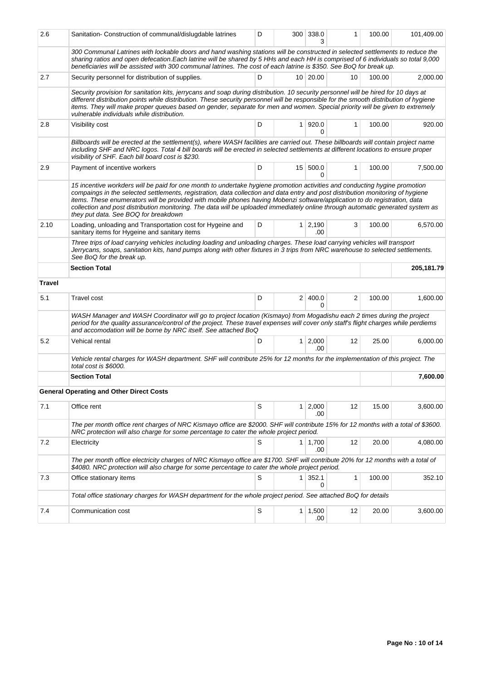| 2.6           | Sanitation- Construction of communal/dislugdable latrines                                                                                                                                                                                                                                                                                                                                                                                                                                                                                                             | D |                | 300 338.0<br>3        | 1            | 100.00 | 101,409.00 |
|---------------|-----------------------------------------------------------------------------------------------------------------------------------------------------------------------------------------------------------------------------------------------------------------------------------------------------------------------------------------------------------------------------------------------------------------------------------------------------------------------------------------------------------------------------------------------------------------------|---|----------------|-----------------------|--------------|--------|------------|
|               | 300 Communal Latrines with lockable doors and hand washing stations will be constructed in selected settlements to reduce the<br>sharing ratios and open defecation.Each latrine will be shared by 5 HHs and each HH is comprised of 6 individuals so total 9,000<br>beneficiaries will be assisted with 300 communal latrines. The cost of each latrine is \$350. See BoQ for break up.                                                                                                                                                                              |   |                |                       |              |        |            |
| 2.7           | Security personnel for distribution of supplies.                                                                                                                                                                                                                                                                                                                                                                                                                                                                                                                      | D |                | 10 20.00              | 10           | 100.00 | 2,000.00   |
|               | Security provision for sanitation kits, jerrycans and soap during distribution. 10 security personnel will be hired for 10 days at<br>different distribution points while distribution. These security personnel will be responsible for the smooth distribution of hygiene<br>items. They will make proper queues based on gender, separate for men and women. Special priority will be given to extremely<br>vulnerable individuals while distribution.                                                                                                             |   |                |                       |              |        |            |
| 2.8           | Visibility cost                                                                                                                                                                                                                                                                                                                                                                                                                                                                                                                                                       | D | 1 <sup>1</sup> | 920.0<br>0            | $\mathbf{1}$ | 100.00 | 920.00     |
|               | Billboards will be erected at the settlement(s), where WASH facilities are carried out. These billboards will contain project name<br>including SHF and NRC logos. Total 4 bill boards will be erected in selected settlements at different locations to ensure proper<br>visibility of SHF. Each bill board cost is \$230.                                                                                                                                                                                                                                           |   |                |                       |              |        |            |
| 2.9           | Payment of incentive workers                                                                                                                                                                                                                                                                                                                                                                                                                                                                                                                                          | D |                | 15 500.0<br>0         | $\mathbf{1}$ | 100.00 | 7,500.00   |
|               | 15 incentive workders will be paid for one month to undertake hygiene promotion activities and conducting hygine promotion<br>compaings in the selected settlements, registration, data collection and data entry and post distribution monitoring of hygiene<br>items. These enumerators will be provided with mobile phones having Mobenzi software/application to do registration, data<br>collection and post distribution monitoring. The data will be uploaded immediately online through automatic generated system as<br>they put data. See BOQ for breakdown |   |                |                       |              |        |            |
| 2.10          | Loading, unloading and Transportation cost for Hygeine and<br>sanitary items for Hygeine and sanitary items                                                                                                                                                                                                                                                                                                                                                                                                                                                           | D |                | $1 \mid 2,190$<br>.00 | 3            | 100.00 | 6,570.00   |
|               | Three trips of load carrying vehicles including loading and unloading charges. These load carrying vehicles will transport<br>Jerrycans, soaps, sanitation kits, hand pumps along with other fixtures in 3 trips from NRC warehouse to selected settlements.<br>See BoQ for the break up.                                                                                                                                                                                                                                                                             |   |                |                       |              |        |            |
|               | <b>Section Total</b>                                                                                                                                                                                                                                                                                                                                                                                                                                                                                                                                                  |   |                |                       |              |        | 205,181.79 |
| <b>Travel</b> |                                                                                                                                                                                                                                                                                                                                                                                                                                                                                                                                                                       |   |                |                       |              |        |            |
| 5.1           | Travel cost                                                                                                                                                                                                                                                                                                                                                                                                                                                                                                                                                           | D |                | 2   400.0<br>0        | 2            | 100.00 | 1,600.00   |
|               | WASH Manager and WASH Coordinator will go to project location (Kismayo) from Mogadishu each 2 times during the project<br>period for the quality assurance/control of the project. These travel expenses will cover only staff's flight charges while perdiems<br>and accomodation will be borne by NRC itself. See attached BoQ                                                                                                                                                                                                                                      |   |                |                       |              |        |            |
| 5.2           | Vehical rental                                                                                                                                                                                                                                                                                                                                                                                                                                                                                                                                                        | D |                | $1 \mid 2,000$<br>.00 | 12           | 25.00  | 6,000.00   |
|               | Vehicle rental charges for WASH department. SHF will contribute 25% for 12 months for the implementation of this project. The<br>total cost is \$6000.                                                                                                                                                                                                                                                                                                                                                                                                                |   |                |                       |              |        |            |
|               | <b>Section Total</b>                                                                                                                                                                                                                                                                                                                                                                                                                                                                                                                                                  |   |                |                       |              |        | 7,600.00   |
|               | <b>General Operating and Other Direct Costs</b>                                                                                                                                                                                                                                                                                                                                                                                                                                                                                                                       |   |                |                       |              |        |            |
| 7.1           | Office rent                                                                                                                                                                                                                                                                                                                                                                                                                                                                                                                                                           | S | 1 <sup>1</sup> | 2,000<br>.00          | 12           | 15.00  | 3,600.00   |
|               | The per month office rent charges of NRC Kismayo office are \$2000. SHF will contribute 15% for 12 months with a total of \$3600.<br>NRC protection will also charge for some percentage to cater the whole project period.                                                                                                                                                                                                                                                                                                                                           |   |                |                       |              |        |            |
| 7.2           | Electricity                                                                                                                                                                                                                                                                                                                                                                                                                                                                                                                                                           | S |                | $1 \mid 1,700$<br>.00 | 12           | 20.00  | 4,080.00   |
|               | The per month office electricity charges of NRC Kismayo office are \$1700. SHF will contribute 20% for 12 months with a total of<br>\$4080. NRC protection will also charge for some percentage to cater the whole project period.                                                                                                                                                                                                                                                                                                                                    |   |                |                       |              |        |            |
| 7.3           | Office stationary items                                                                                                                                                                                                                                                                                                                                                                                                                                                                                                                                               | S | 1              | 352.1<br>0            | 1            | 100.00 | 352.10     |
|               | Total office stationary charges for WASH department for the whole project period. See attached BoQ for details                                                                                                                                                                                                                                                                                                                                                                                                                                                        |   |                |                       |              |        |            |
| 7.4           | Communication cost                                                                                                                                                                                                                                                                                                                                                                                                                                                                                                                                                    | S |                | $1 \mid 1,500$<br>.00 | 12           | 20.00  | 3,600.00   |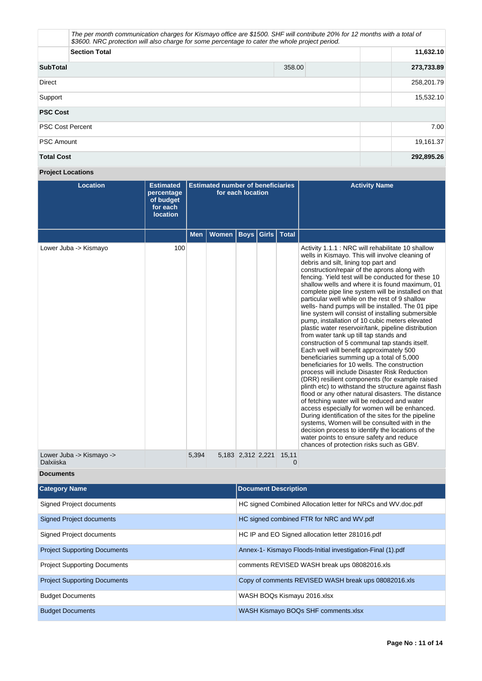| \$3600. NRC protection will also charge for some percentage to cater the whole project period. | The per month communication charges for Kismayo office are \$1500. SHF will contribute 20% for 12 months with a total of |            |
|------------------------------------------------------------------------------------------------|--------------------------------------------------------------------------------------------------------------------------|------------|
| <b>Section Total</b>                                                                           |                                                                                                                          | 11,632.10  |
| <b>SubTotal</b>                                                                                | 358.00                                                                                                                   | 273,733.89 |
| Direct                                                                                         |                                                                                                                          | 258,201.79 |
| Support                                                                                        |                                                                                                                          | 15,532.10  |
| <b>PSC Cost</b>                                                                                |                                                                                                                          |            |
| <b>PSC Cost Percent</b>                                                                        |                                                                                                                          | 7.00       |
| <b>PSC Amount</b>                                                                              |                                                                                                                          | 19,161.37  |
| <b>Total Cost</b>                                                                              |                                                                                                                          | 292,895.26 |

# **Project Locations**

| <b>Location</b>                       | <b>Estimated</b><br>percentage<br>of budget<br>for each<br><b>location</b> | <b>Estimated number of beneficiaries</b><br>for each location |              |                   |       |              | <b>Activity Name</b>                                                                                                                                                                                                                                                                                                                                                                                                                                                                                                                                                                                                                                                                                                                                                                                                                                                                                                                                                                                                                                                                                                                                                                                                                                                                                                                                                                                                                      |
|---------------------------------------|----------------------------------------------------------------------------|---------------------------------------------------------------|--------------|-------------------|-------|--------------|-------------------------------------------------------------------------------------------------------------------------------------------------------------------------------------------------------------------------------------------------------------------------------------------------------------------------------------------------------------------------------------------------------------------------------------------------------------------------------------------------------------------------------------------------------------------------------------------------------------------------------------------------------------------------------------------------------------------------------------------------------------------------------------------------------------------------------------------------------------------------------------------------------------------------------------------------------------------------------------------------------------------------------------------------------------------------------------------------------------------------------------------------------------------------------------------------------------------------------------------------------------------------------------------------------------------------------------------------------------------------------------------------------------------------------------------|
|                                       |                                                                            | <b>Men</b>                                                    | <b>Women</b> | <b>Boys</b>       | Girls | <b>Total</b> |                                                                                                                                                                                                                                                                                                                                                                                                                                                                                                                                                                                                                                                                                                                                                                                                                                                                                                                                                                                                                                                                                                                                                                                                                                                                                                                                                                                                                                           |
| Lower Juba -> Kismayo                 | 100                                                                        |                                                               |              |                   |       |              | Activity 1.1.1 : NRC will rehabilitate 10 shallow<br>wells in Kismayo. This will involve cleaning of<br>debris and silt, lining top part and<br>construction/repair of the aprons along with<br>fencing. Yield test will be conducted for these 10<br>shallow wells and where it is found maximum, 01<br>complete pipe line system will be installed on that<br>particular well while on the rest of 9 shallow<br>wells- hand pumps will be installed. The 01 pipe<br>line system will consist of installing submersible<br>pump, installation of 10 cubic meters elevated<br>plastic water reservoir/tank, pipeline distribution<br>from water tank up till tap stands and<br>construction of 5 communal tap stands itself.<br>Each well will benefit approximately 500<br>beneficiaries summing up a total of 5,000<br>beneficiaries for 10 wells. The construction<br>process will include Disaster Risk Reduction<br>(DRR) resilient components (for example raised<br>plinth etc) to withstand the structure against flash<br>flood or any other natural disasters. The distance<br>of fetching water will be reduced and water<br>access especially for women will be enhanced.<br>During identification of the sites for the pipeline<br>systems, Women will be consulted with in the<br>decision process to identify the locations of the<br>water points to ensure safety and reduce<br>chances of protection risks such as GBV. |
| Lower Juba -> Kismayo -><br>Dalxiiska |                                                                            | 5,394                                                         |              | 5,183 2,312 2,221 |       | 15,11<br>0   |                                                                                                                                                                                                                                                                                                                                                                                                                                                                                                                                                                                                                                                                                                                                                                                                                                                                                                                                                                                                                                                                                                                                                                                                                                                                                                                                                                                                                                           |

# **Documents**

| <b>Category Name</b>                | <b>Document Description</b>                                  |
|-------------------------------------|--------------------------------------------------------------|
| Signed Project documents            | HC signed Combined Allocation letter for NRCs and WV doc.pdf |
| <b>Signed Project documents</b>     | HC signed combined FTR for NRC and WV.pdf                    |
| Signed Project documents            | HC IP and EO Signed allocation letter 281016.pdf             |
| <b>Project Supporting Documents</b> | Annex-1- Kismayo Floods-Initial investigation-Final (1).pdf  |
| <b>Project Supporting Documents</b> | comments REVISED WASH break ups 08082016.xls                 |
| <b>Project Supporting Documents</b> | Copy of comments REVISED WASH break ups 08082016.xls         |
| <b>Budget Documents</b>             | WASH BOQs Kismayu 2016.xlsx                                  |
| <b>Budget Documents</b>             | WASH Kismayo BOQs SHF comments.xlsx                          |